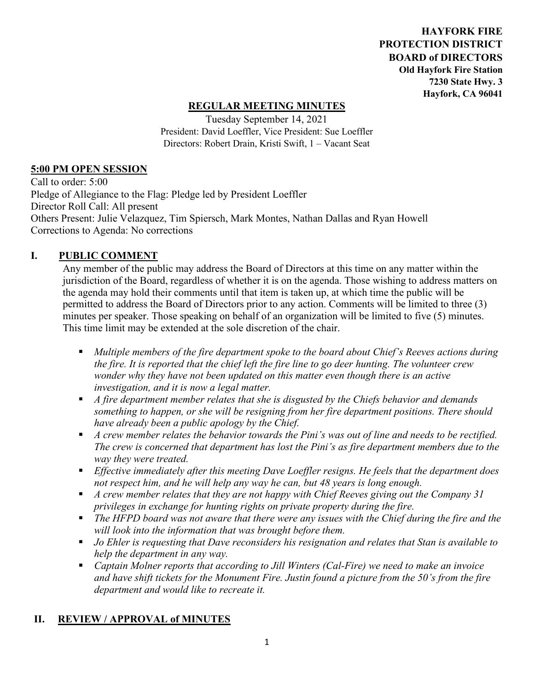**HAYFORK FIRE PROTECTION DISTRICT BOARD of DIRECTORS Old Hayfork Fire Station 7230 State Hwy. 3 Hayfork, CA 96041** 

### **REGULAR MEETING MINUTES**

Tuesday September 14, 2021 President: David Loeffler, Vice President: Sue Loeffler Directors: Robert Drain, Kristi Swift, 1 – Vacant Seat

#### **5:00 PM OPEN SESSION**

Call to order: 5:00 Pledge of Allegiance to the Flag: Pledge led by President Loeffler Director Roll Call: All present Others Present: Julie Velazquez, Tim Spiersch, Mark Montes, Nathan Dallas and Ryan Howell Corrections to Agenda: No corrections

### **I. PUBLIC COMMENT**

Any member of the public may address the Board of Directors at this time on any matter within the jurisdiction of the Board, regardless of whether it is on the agenda. Those wishing to address matters on the agenda may hold their comments until that item is taken up, at which time the public will be permitted to address the Board of Directors prior to any action. Comments will be limited to three (3) minutes per speaker. Those speaking on behalf of an organization will be limited to five (5) minutes. This time limit may be extended at the sole discretion of the chair.

- *Multiple members of the fire department spoke to the board about Chief's Reeves actions during the fire. It is reported that the chief left the fire line to go deer hunting. The volunteer crew wonder why they have not been updated on this matter even though there is an active investigation, and it is now a legal matter.*
- *A fire department member relates that she is disgusted by the Chiefs behavior and demands something to happen, or she will be resigning from her fire department positions. There should have already been a public apology by the Chief.*
- *A crew member relates the behavior towards the Pini's was out of line and needs to be rectified. The crew is concerned that department has lost the Pini's as fire department members due to the way they were treated.*
- *Effective immediately after this meeting Dave Loeffler resigns. He feels that the department does not respect him, and he will help any way he can, but 48 years is long enough.*
- *A crew member relates that they are not happy with Chief Reeves giving out the Company 31 privileges in exchange for hunting rights on private property during the fire.*
- The HFPD board was not aware that there were any issues with the Chief during the fire and the *will look into the information that was brought before them.*
- *Jo Ehler is requesting that Dave reconsiders his resignation and relates that Stan is available to help the department in any way.*
- *Captain Molner reports that according to Jill Winters (Cal-Fire) we need to make an invoice and have shift tickets for the Monument Fire. Justin found a picture from the 50's from the fire department and would like to recreate it.*

### **II. REVIEW / APPROVAL of MINUTES**